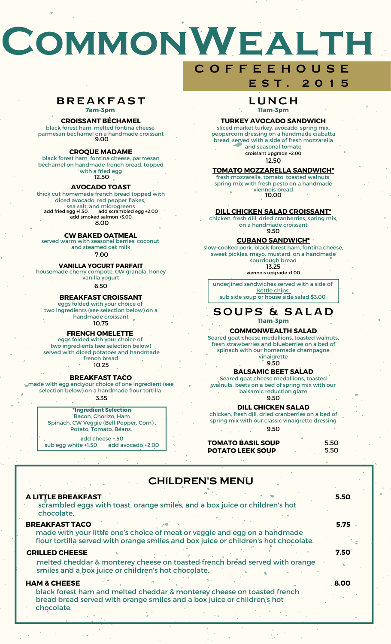# **CommonWealth**

# **BREAKFAST**

**7am-3pm**

# **CROISSANT BÉCHAMEL**

black forest ham, melted fontina cheese, parmesan béchamel on a handmade croissant 9.00

#### **CROQUE MADAME**

black forest ham, fontina cheese, parmesan béchamel on handmade french bread, topped with a fried egg 12.50

#### **AVOCADO TOAST**

thick cut homemade french bread topped with diced avocado, red pepper flakes, sea salt, and microgreens 8.00 add fried egg +1.50. add scrambled egg +2.00 add smoked salmon +3.00

#### **CW BAKED OATMEAL**

served warm with seasonal berries, coconut, and steamed oat milk 7.00

# **VANILLA YOGURT PARFAIT**

housemade cherry compote, CW granola, honey vanilla yogurt

6.50

## **BREAKFAST CROISSANT**

eggs folded with your choice of two ingredients (see selection below) on a handmade croissant 10.75

# **FRENCH OMELETTE**

eggs folded with your choice of two ingredients (see selection below) served with diced potatoes and handmade

#### french bread 10.25

**BREAKFAST TACO**

#### made with egg and your choice of one ingredient (see selection below) on a handmade flour tortilla 3.35

#### **\*Ingredient Selection** Bacon, Chorizo, Ham Spinach, CW Veggie (Bell Pepper, Corn) , Potato, Tomato, Beans, add cheese +.50

sub egg white +1.50 add avocado +2.00

# **C O F F E E H O U S E E S T . 2 0 1 5**

**LUNCH 11am-3pm**

### **TURKEY AVOCADO SANDWICH**

sliced market turkey, avocado, spring mix, peppercorn dressing on a handmade ciabatta bread, served with a side of fresh mozzarella and seasonal tomato 12.50 croissant upgrade +2.00

## **TOMATO MOZZARELLA SANDWICH\***

10.00 viennois bread fresh mozzarella, tomato, toasted walnuts, spring mix with fresh pesto on a handmade

# **DILL CHICKEN SALAD CROISSANT\***

9.50 chicken, fresh dill, dried cranberries, spring mix, on a handmade croissant

## **CUBANO SANDWICH\***

slow-cooked pork, black forest ham, fontina cheese, sweet pickles, mayo, mustard, on a handmade sourdough bread 13.25

viennois upgrade +1.00

underlined sandwiches served with a side of kettle chips. sub side soup or house side salad \$3.00

# **SOUPS & SALAD 11am-3pm**

# **COMMONWEALTH SALAD**

Seared goat cheese medallions, toasted walnuts, fresh strawberries and blueberries on a bed of spinach with our homemade champagne. vinaigrette

9.50

# **BALSAMIC BEET SALAD**

Seared goat cheese medallions, toasted walnuts, beets on a bed of spring mix with our balsamic reduction glaze 9.50

# **DILL CHICKEN SALAD**

chicken, fresh dill, dried cranberries on a bed of spring mix with our classic vinaigrette dressing 9.50

| <b>TOMATO BASIL SOUP</b> | 5.50 |
|--------------------------|------|
| <b>POTATO LEEK SOUP</b>  | 5.50 |

# CHILDREN'S MENU

| <b>A LITTLE BREAKFAST</b><br>scrambled eggs with toast, orange smiles, and a box juice or children's hot<br>chocolate.                                                                     | 5.50 |
|--------------------------------------------------------------------------------------------------------------------------------------------------------------------------------------------|------|
| <b>BREAKFAST TACO</b><br>made with your little one's choice of meat or veggie and egg on a handmade<br>flour tortilla served with orange smiles and box juice or children's hot chocolate. | 5.75 |
| <b>GRILLED CHEESE</b><br>melted cheddar & monterey cheese on toasted french bread served with orange<br>smiles and a box juice or children's hot chocolate.                                | 7.50 |
| <b>HAM &amp; CHEESE</b><br>black forest ham and melted cheddar & monterey cheese on toasted french<br>bread bread served with orange smiles and a box juice or children's hot              | 8.00 |

chocolate.